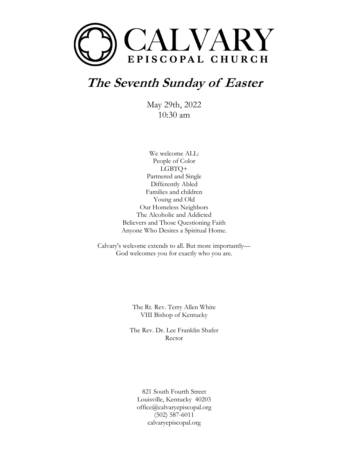

# **The Seventh Sunday of Easter**

May 29th, 2022 10:30 am

We welcome ALL: People of Color LGBTQ+ Partnered and Single Differently Abled Families and children Young and Old Our Homeless Neighbors The Alcoholic and Addicted Believers and Those Questioning Faith Anyone Who Desires a Spiritual Home.

Calvary's welcome extends to all. But more importantly— God welcomes you for exactly who you are.

> The Rt. Rev. Terry Allen White VIII Bishop of Kentucky

The Rev. Dr. Lee Franklin Shafer Rector

821 South Fourth Street Louisville, Kentucky 40203 office@calvaryepiscopal.org (502) 587-6011 calvaryepiscopal.org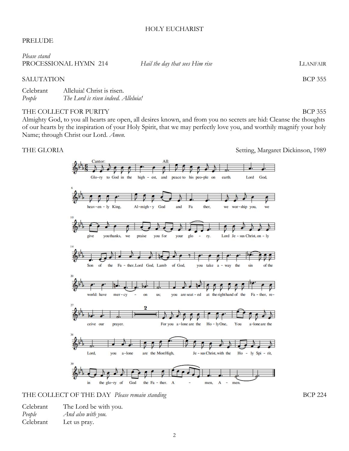### HOLY EUCHARIST

### PRELUDE

*Please stand* PROCESSIONAL HYMN 214 *Hail the day that sees Him rise* LLANFAIR

### SALUTATION BCP 355

Celebrant Alleluia! Christ is risen. *People The Lord is risen indeed. Alleluia!* 

### THE COLLECT FOR PURITY SERVICES AND THE COLLECT FOR PURITY

Almighty God, to you all hearts are open, all desires known, and from you no secrets are hid: Cleanse the thoughts of our hearts by the inspiration of your Holy Spirit, that we may perfectly love you, and worthily magnify your holy Name; through Christ our Lord. *Amen.*

THE GLORIA Setting, Margaret Dickinson, 1989



THE COLLECT OF THE DAY *Please remain standing* BCP 224

| Celebrant | The Lord be with you. |
|-----------|-----------------------|
| People    | And also with you.    |
| Celebrant | Let us pray.          |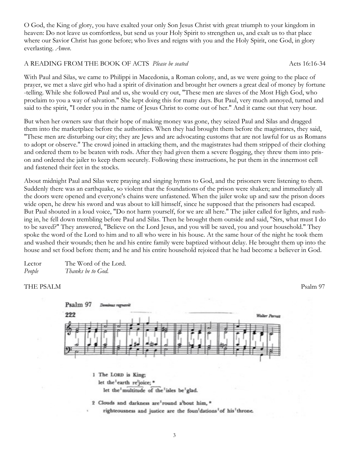O God, the King of glory, you have exalted your only Son Jesus Christ with great triumph to your kingdom in heaven: Do not leave us comfortless, but send us your Holy Spirit to strengthen us, and exalt us to that place where our Savior Christ has gone before; who lives and reigns with you and the Holy Spirit, one God, in glory everlasting. *Amen*.

### A READING FROM THE BOOK OF ACTS *Please be seated* Acts 16:16-34

With Paul and Silas, we came to Philippi in Macedonia, a Roman colony, and, as we were going to the place of prayer, we met a slave girl who had a spirit of divination and brought her owners a great deal of money by fortune -telling. While she followed Paul and us, she would cry out, "These men are slaves of the Most High God, who proclaim to you a way of salvation." She kept doing this for many days. But Paul, very much annoyed, turned and said to the spirit, "I order you in the name of Jesus Christ to come out of her." And it came out that very hour.

But when her owners saw that their hope of making money was gone, they seized Paul and Silas and dragged them into the marketplace before the authorities. When they had brought them before the magistrates, they said, "These men are disturbing our city; they are Jews and are advocating customs that are not lawful for us as Romans to adopt or observe." The crowd joined in attacking them, and the magistrates had them stripped of their clothing and ordered them to be beaten with rods. After they had given them a severe flogging, they threw them into prison and ordered the jailer to keep them securely. Following these instructions, he put them in the innermost cell and fastened their feet in the stocks.

About midnight Paul and Silas were praying and singing hymns to God, and the prisoners were listening to them. Suddenly there was an earthquake, so violent that the foundations of the prison were shaken; and immediately all the doors were opened and everyone's chains were unfastened. When the jailer woke up and saw the prison doors wide open, he drew his sword and was about to kill himself, since he supposed that the prisoners had escaped. But Paul shouted in a loud voice, "Do not harm yourself, for we are all here." The jailer called for lights, and rushing in, he fell down trembling before Paul and Silas. Then he brought them outside and said, "Sirs, what must I do to be saved?" They answered, "Believe on the Lord Jesus, and you will be saved, you and your household." They spoke the word of the Lord to him and to all who were in his house. At the same hour of the night he took them and washed their wounds; then he and his entire family were baptized without delay. He brought them up into the house and set food before them; and he and his entire household rejoiced that he had become a believer in God.

Lector The Word of the Lord. *People Thanks be to God.*

### THE PSALM Psalm 97



1 The LORD is King; let the earth re'joice; \* let the multitude of the isles be glad.

2 Clouds and darkness are round a bout him, \*

righteousness and justice are the foun'dations<sup>1</sup> of his<sup>1</sup>throne.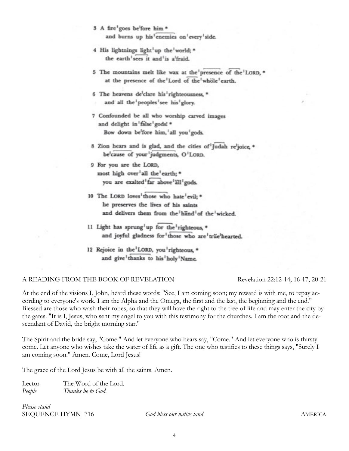- 3 A fire' goes be'fore him \* and burns up his<sup>1</sup>enemies on<sup>1</sup>every<sup>1</sup>side.
- 4 His lightnings light<sup>1</sup>up the<sup>1</sup>world; \* the earth<sup>1</sup> sees it and<sup>1</sup> is a<sup>1</sup>fraid.
- 5 The mountains melt like wax at the presence of the LORD, \* at the presence of the<sup>1</sup>Lord of the<sup>1</sup>whöle<sup>1</sup>earth.
- 6 The heavens de'clare his<sup>1</sup>righteousness, \* and all the 'peoples' see his 'glory.
- 7 Confounded be all who worship carved images and delight in false gods! \* Bow down be<sup>l</sup>fore him, all you gods.
- 8 Zion hears and is glad, and the cities of Judah re'joice, \* be cause of your 'judgments, O'LORD.
- 9 For you are the LORD, most high over all the earth; \* you are exalted far above 'all gods.
- 10 The LORD loves those who hate evil; \* he preserves the lives of his saints and delivers them from the hand of the wicked.
- 11 Light has sprung'up for the righteous, \* and joyful gladness for those who are true hearted.
- 12 Rejoice in the LORD, you righteous, \* and give thanks to his holy Name.

### A READING FROM THE BOOK OF REVELATION Revelation 22:12-14, 16-17, 20-21

At the end of the visions I, John, heard these words: "See, I am coming soon; my reward is with me, to repay according to everyone's work. I am the Alpha and the Omega, the first and the last, the beginning and the end." Blessed are those who wash their robes, so that they will have the right to the tree of life and may enter the city by the gates. "It is I, Jesus, who sent my angel to you with this testimony for the churches. I am the root and the descendant of David, the bright morning star."

The Spirit and the bride say, "Come." And let everyone who hears say, "Come." And let everyone who is thirsty come. Let anyone who wishes take the water of life as a gift. The one who testifies to these things says, "Surely I am coming soon." Amen. Come, Lord Jesus!

The grace of the Lord Jesus be with all the saints. Amen.

Lector The Word of the Lord. *People Thanks be to God.*

*Please stand* SEQUENCE HYMN 716 *God bless our native land* AMERICA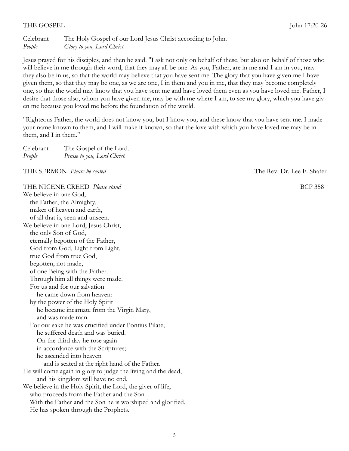### THE GOSPEL John 17:20-26

Celebrant The Holy Gospel of our Lord Jesus Christ according to John. *People Glory to you, Lord Christ.*

Jesus prayed for his disciples, and then he said. "I ask not only on behalf of these, but also on behalf of those who will believe in me through their word, that they may all be one. As you, Father, are in me and I am in you, may they also be in us, so that the world may believe that you have sent me. The glory that you have given me I have given them, so that they may be one, as we are one, I in them and you in me, that they may become completely one, so that the world may know that you have sent me and have loved them even as you have loved me. Father, I desire that those also, whom you have given me, may be with me where I am, to see my glory, which you have given me because you loved me before the foundation of the world.

"Righteous Father, the world does not know you, but I know you; and these know that you have sent me. I made your name known to them, and I will make it known, so that the love with which you have loved me may be in them, and I in them."

| Celebrant | The Gospel of the Lord.     |
|-----------|-----------------------------|
| People    | Praise to you, Lord Christ. |

### THE SERMON *Please be seated* The Rev. Dr. Lee F. Shafer

THE NICENE CREED *Please stand* BCP 358 We believe in one God, the Father, the Almighty, maker of heaven and earth, of all that is, seen and unseen. We believe in one Lord, Jesus Christ, the only Son of God, eternally begotten of the Father, God from God, Light from Light, true God from true God, begotten, not made, of one Being with the Father. Through him all things were made. For us and for our salvation he came down from heaven: by the power of the Holy Spirit he became incarnate from the Virgin Mary, and was made man. For our sake he was crucified under Pontius Pilate; he suffered death and was buried. On the third day he rose again in accordance with the Scriptures; he ascended into heaven and is seated at the right hand of the Father. He will come again in glory to judge the living and the dead, and his kingdom will have no end. We believe in the Holy Spirit, the Lord, the giver of life, who proceeds from the Father and the Son. With the Father and the Son he is worshiped and glorified. He has spoken through the Prophets.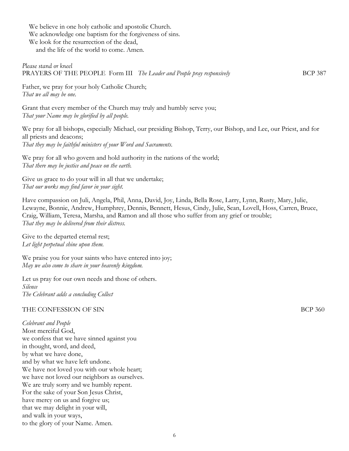We believe in one holy catholic and apostolic Church. We acknowledge one baptism for the forgiveness of sins. We look for the resurrection of the dead. and the life of the world to come. Amen.

*Please stand or kneel* PRAYERS OF THE PEOPLE Form III *The Leader and People pray responsively* BCP 387

Father, we pray for your holy Catholic Church; *That we all may be one.* 

Grant that every member of the Church may truly and humbly serve you; *That your Name may be glorified by all people.* 

We pray for all bishops, especially Michael, our presiding Bishop, Terry, our Bishop, and Lee, our Priest, and for all priests and deacons; *That they may be faithful ministers of your Word and Sacraments.* 

We pray for all who govern and hold authority in the nations of the world; *That there may be justice and peace on the earth.* 

Give us grace to do your will in all that we undertake; *That our works may find favor in your sight.* 

Have compassion on Juli, Angela, Phil, Anna, David, Joy, Linda, Bella Rose, Larry, Lynn, Rusty, Mary, Julie, Lewayne, Bonnie, Andrew, Humphrey, Dennis, Bennett, Hesus, Cindy, Julie, Sean, Lovell, Hoss, Carren, Bruce, Craig, William, Teresa, Marsha, and Ramon and all those who suffer from any grief or trouble; *That they may be delivered from their distress.* 

Give to the departed eternal rest; *Let light perpetual shine upon them.* 

We praise you for your saints who have entered into joy; *May we also come to share in your heavenly kingdom.* 

Let us pray for our own needs and those of others. *Silence The Celebrant adds a concluding Collect* 

# THE CONFESSION OF SIN BCP 360

*Celebrant and People* Most merciful God, we confess that we have sinned against you in thought, word, and deed, by what we have done, and by what we have left undone. We have not loved you with our whole heart; we have not loved our neighbors as ourselves. We are truly sorry and we humbly repent. For the sake of your Son Jesus Christ, have mercy on us and forgive us; that we may delight in your will, and walk in your ways, to the glory of your Name. Amen.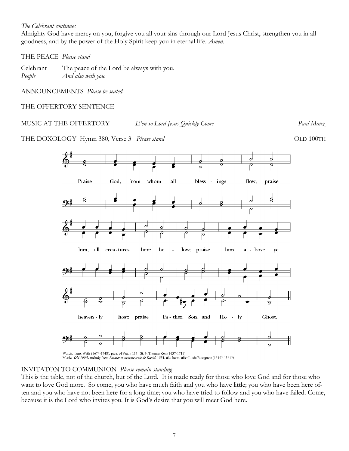### *The Celebrant continues*

Almighty God have mercy on you, forgive you all your sins through our Lord Jesus Christ, strengthen you in all goodness, and by the power of the Holy Spirit keep you in eternal life. *Amen*.

THE PEACE *Please stand*

Celebrant The peace of the Lord be always with you. *People And also with you.*

ANNOUNCEMENTS *Please be seated*

### THE OFFERTORY SENTENCE

MUSIC AT THE OFFERTORY *E'en so Lord Jesus Quickly Come Paul Manz*

THE DOXOLOGY Hymn 380, Verse 3 *Please stand* CLD 100TH



Music: Old 100th, melody from Pseaumes octante trois de David, 1551, alt.; harm. after Louis Bourgeois (1510?-1561?)

### INVITATON TO COMMUNION *Please remain standing*

This is the table, not of the church, but of the Lord. It is made ready for those who love God and for those who want to love God more. So come, you who have much faith and you who have little; you who have been here often and you who have not been here for a long time; you who have tried to follow and you who have failed. Come, because it is the Lord who invites you. It is God's desire that you will meet God here.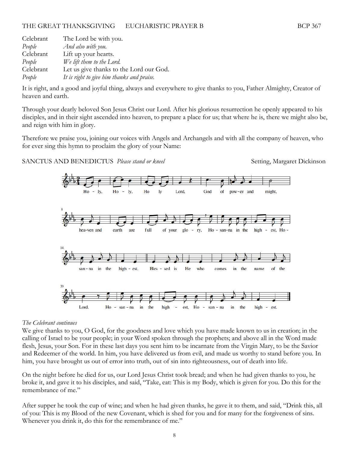| Celebrant | The Lord be with you.                      |
|-----------|--------------------------------------------|
| People    | And also with you.                         |
| Celebrant | Lift up your hearts.                       |
| People    | We lift them to the Lord.                  |
| Celebrant | Let us give thanks to the Lord our God.    |
| People    | It is right to give him thanks and praise. |

It is right, and a good and joyful thing, always and everywhere to give thanks to you, Father Almighty, Creator of heaven and earth.

Through your dearly beloved Son Jesus Christ our Lord. After his glorious resurrection he openly appeared to his disciples, and in their sight ascended into heaven, to prepare a place for us; that where he is, there we might also be, and reign with him in glory.

Therefore we praise you, joining our voices with Angels and Archangels and with all the company of heaven, who for ever sing this hymn to proclaim the glory of your Name:

SANCTUS AND BENEDICTUS *Please stand or kneel* Setting, Margaret Dickinson



### *The Celebrant continues*

We give thanks to you, O God, for the goodness and love which you have made known to us in creation; in the calling of Israel to be your people; in your Word spoken through the prophets; and above all in the Word made flesh, Jesus, your Son. For in these last days you sent him to be incarnate from the Virgin Mary, to be the Savior and Redeemer of the world. In him, you have delivered us from evil, and made us worthy to stand before you. In him, you have brought us out of error into truth, out of sin into righteousness, out of death into life.

On the night before he died for us, our Lord Jesus Christ took bread; and when he had given thanks to you, he broke it, and gave it to his disciples, and said, "Take, eat: This is my Body, which is given for you. Do this for the remembrance of me."

After supper he took the cup of wine; and when he had given thanks, he gave it to them, and said, "Drink this, all of you: This is my Blood of the new Covenant, which is shed for you and for many for the forgiveness of sins. Whenever you drink it, do this for the remembrance of me."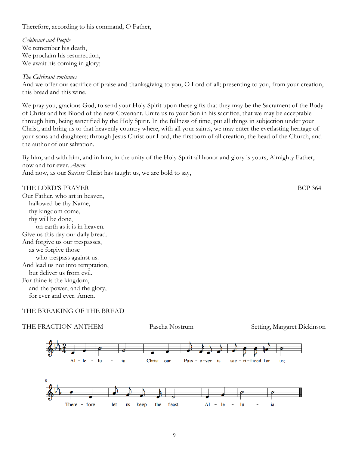Therefore, according to his command, O Father,

*Celebrant and People* We remember his death, We proclaim his resurrection, We await his coming in glory;

### *The Celebrant continues*

And we offer our sacrifice of praise and thanksgiving to you, O Lord of all; presenting to you, from your creation, this bread and this wine.

We pray you, gracious God, to send your Holy Spirit upon these gifts that they may be the Sacrament of the Body of Christ and his Blood of the new Covenant. Unite us to your Son in his sacrifice, that we may be acceptable through him, being sanctified by the Holy Spirit. In the fullness of time, put all things in subjection under your Christ, and bring us to that heavenly country where, with all your saints, we may enter the everlasting heritage of your sons and daughters; through Jesus Christ our Lord, the firstborn of all creation, the head of the Church, and the author of our salvation.

By him, and with him, and in him, in the unity of the Holy Spirit all honor and glory is yours, Almighty Father, now and for ever. *Amen*. And now, as our Savior Christ has taught us, we are bold to say,

### THE LORD'S PRAYER BCP 364

Our Father, who art in heaven, hallowed be thy Name, thy kingdom come, thy will be done, on earth as it is in heaven. Give us this day our daily bread. And forgive us our trespasses, as we forgive those who trespass against us. And lead us not into temptation, but deliver us from evil. For thine is the kingdom, and the power, and the glory, for ever and ever. Amen.

### THE BREAKING OF THE BREAD

### THE FRACTION ANTHEM Pascha Nostrum Setting, Margaret Dickinson

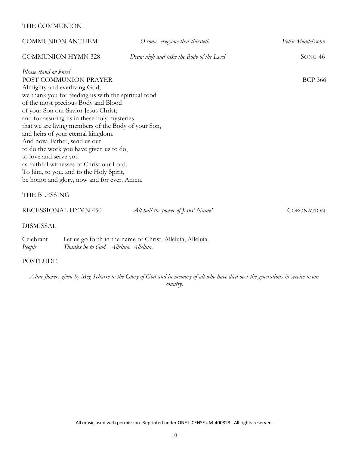# THE COMMUNION

| <b>COMMUNION ANTHEM</b>                             | O come, everyone that thirsteth         | Felix Mendelssohn |
|-----------------------------------------------------|-----------------------------------------|-------------------|
| <b>COMMUNION HYMN 328</b>                           | Draw nigh and take the Body of the Lord | SONG 46           |
| Please stand or kneel                               |                                         |                   |
| POST COMMUNION PRAYER                               |                                         | <b>BCP 366</b>    |
| Almighty and everliving God,                        |                                         |                   |
| we thank you for feeding us with the spiritual food |                                         |                   |
| of the most precious Body and Blood                 |                                         |                   |
| of your Son our Savior Jesus Christ;                |                                         |                   |
| and for assuring us in these holy mysteries         |                                         |                   |
| that we are living members of the Body of your Son, |                                         |                   |
| and heirs of your eternal kingdom.                  |                                         |                   |
| And now, Father, send us out                        |                                         |                   |
| to do the work you have given us to do,             |                                         |                   |
| to love and serve you                               |                                         |                   |
| as faithful witnesses of Christ our Lord.           |                                         |                   |
| To him, to you, and to the Holy Spirit,             |                                         |                   |
| be honor and glory, now and for ever. Amen.         |                                         |                   |
| THE BLESSING                                        |                                         |                   |

RECESSIONAL HYMN 450 *All hail the power of Jesus' Name!* CORONATION

### DISMISSAL

Celebrant Let us go forth in the name of Christ, Alleluia, Alleluia. *People Thanks be to God. Alleluia. Alleluia.*

### POSTLUDE

*Altar flowers given by Meg Scharre to the Glory of God and in memory of all who have died over the generations in service to our country.*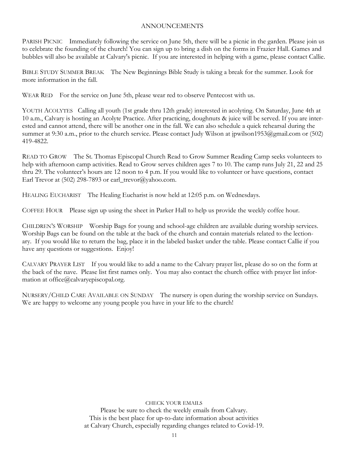### ANNOUNCEMENTS

PARISH PICNIC Immediately following the service on June 5th, there will be a picnic in the garden. Please join us to celebrate the founding of the church! You can sign up to bring a dish on the forms in Frazier Hall. Games and bubbles will also be available at Calvary's picnic. If you are interested in helping with a game, please contact Callie.

BIBLE STUDY SUMMER BREAK The New Beginnings Bible Study is taking a break for the summer. Look for more information in the fall.

WEAR RED For the service on June 5th, please wear red to observe Pentecost with us.

YOUTH ACOLYTES Calling all youth (1st grade thru 12th grade) interested in acolyting. On Saturday, June 4th at 10 a.m., Calvary is hosting an Acolyte Practice. After practicing, doughnuts & juice will be served. If you are interested and cannot attend, there will be another one in the fall. We can also schedule a quick rehearsal during the summer at 9:30 a.m., prior to the church service. Please contact Judy Wilson at jpwilson1953@gmail.com or (502) 419-4822.

READ TO GROW The St. Thomas Episcopal Church Read to Grow Summer Reading Camp seeks volunteers to help with afternoon camp activities. Read to Grow serves children ages 7 to 10. The camp runs July 21, 22 and 25 thru 29. The volunteer's hours are 12 noon to 4 p.m. If you would like to volunteer or have questions, contact Earl Trevor at (502) 298-7893 or earl\_trevor@yahoo.com.

HEALING EUCHARIST The Healing Eucharist is now held at 12:05 p.m. on Wednesdays.

COFFEE HOUR Please sign up using the sheet in Parker Hall to help us provide the weekly coffee hour.

CHILDREN'S WORSHIP Worship Bags for young and school-age children are available during worship services. Worship Bags can be found on the table at the back of the church and contain materials related to the lectionary. If you would like to return the bag, place it in the labeled basket under the table. Please contact Callie if you have any questions or suggestions. Enjoy!

CALVARY PRAYER LIST If you would like to add a name to the Calvary prayer list, please do so on the form at the back of the nave. Please list first names only. You may also contact the church office with prayer list information at office@calvaryepiscopal.org.

NURSERY/CHILD CARE AVAILABLE ON SUNDAY The nursery is open during the worship service on Sundays. We are happy to welcome any young people you have in your life to the church!

CHECK YOUR EMAILS

Please be sure to check the weekly emails from Calvary. This is the best place for up-to-date information about activities at Calvary Church, especially regarding changes related to Covid-19.